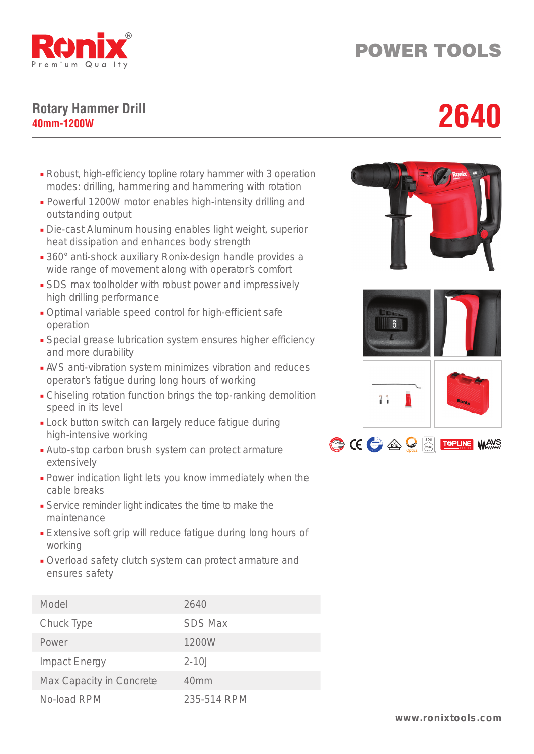

## POWER TOOLS

## **Rotary Hammer Drill** Rotary Hammer Drill<br>40mm-1200W<br>**40mm-1200W**

- Robust, high-efficiency topline rotary hammer with 3 operation modes: drilling, hammering and hammering with rotation
- Powerful 1200W motor enables high-intensity drilling and outstanding output
- Die-cast Aluminum housing enables light weight, superior heat dissipation and enhances body strength
- 360° anti-shock auxiliary Ronix-design handle provides a wide range of movement along with operator's comfort
- SDS max toolholder with robust power and impressively high drilling performance
- Optimal variable speed control for high-efficient safe operation
- Special grease lubrication system ensures higher efficiency and more durability
- AVS anti-vibration system minimizes vibration and reduces operator's fatigue during long hours of working
- Chiseling rotation function brings the top-ranking demolition speed in its level
- Lock button switch can largely reduce fatigue during high-intensive working
- Auto-stop carbon brush system can protect armature extensively
- Power indication light lets you know immediately when the cable breaks
- Service reminder light indicates the time to make the maintenance
- Extensive soft grip will reduce fatigue during long hours of working
- Overload safety clutch system can protect armature and ensures safety

| Model                    | 2640             |
|--------------------------|------------------|
| Chuck Type               | <b>SDS Max</b>   |
| Power                    | 1200W            |
| <b>Impact Energy</b>     | $2 - 10.1$       |
| Max Capacity in Concrete | 40 <sub>mm</sub> |
| No-load RPM              | 235-514 RPM      |